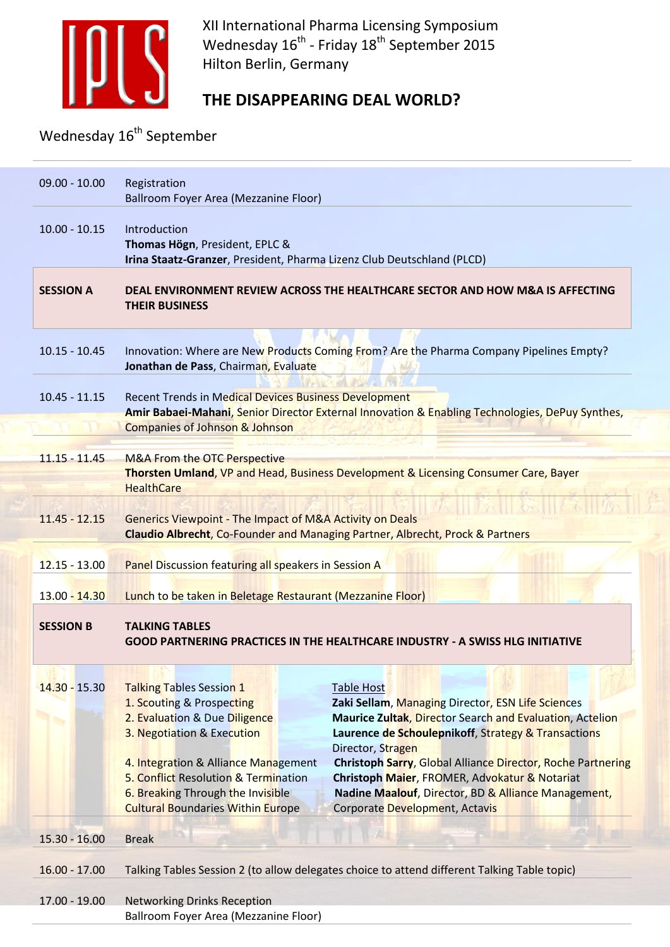

XII International Pharma Licensing Symposium Wednesday 16<sup>th</sup> - Friday 18<sup>th</sup> September 2015 Hilton Berlin, Germany

## **THE DISAPPEARING DEAL WORLD?**

Wednesday  $16^{th}$  September

| $09.00 - 10.00$  | Registration<br><b>Ballroom Foyer Area (Mezzanine Floor)</b>                                                                                                                                                                                                                                 |                                                                                                                                                                                                                                                                                                                                                                                                                                       |
|------------------|----------------------------------------------------------------------------------------------------------------------------------------------------------------------------------------------------------------------------------------------------------------------------------------------|---------------------------------------------------------------------------------------------------------------------------------------------------------------------------------------------------------------------------------------------------------------------------------------------------------------------------------------------------------------------------------------------------------------------------------------|
| $10.00 - 10.15$  | Introduction<br>Thomas Högn, President, EPLC &<br>Irina Staatz-Granzer, President, Pharma Lizenz Club Deutschland (PLCD)                                                                                                                                                                     |                                                                                                                                                                                                                                                                                                                                                                                                                                       |
| <b>SESSION A</b> | <b>THEIR BUSINESS</b>                                                                                                                                                                                                                                                                        | DEAL ENVIRONMENT REVIEW ACROSS THE HEALTHCARE SECTOR AND HOW M&A IS AFFECTING                                                                                                                                                                                                                                                                                                                                                         |
| $10.15 - 10.45$  | Jonathan de Pass, Chairman, Evaluate                                                                                                                                                                                                                                                         | Innovation: Where are New Products Coming From? Are the Pharma Company Pipelines Empty?                                                                                                                                                                                                                                                                                                                                               |
| $10.45 - 11.15$  | <b>Recent Trends in Medical Devices Business Development</b><br><b>Companies of Johnson &amp; Johnson</b>                                                                                                                                                                                    | Amir Babaei-Mahani, Senior Director External Innovation & Enabling Technologies, DePuy Synthes,                                                                                                                                                                                                                                                                                                                                       |
| $11.15 - 11.45$  | <b>M&amp;A From the OTC Perspective</b><br><b>HealthCare</b>                                                                                                                                                                                                                                 | Thorsten Umland, VP and Head, Business Development & Licensing Consumer Care, Bayer                                                                                                                                                                                                                                                                                                                                                   |
| $11.45 - 12.15$  | <b>Generics Viewpoint - The Impact of M&amp;A Activity on Deals</b><br>Claudio Albrecht, Co-Founder and Managing Partner, Albrecht, Prock & Partners                                                                                                                                         |                                                                                                                                                                                                                                                                                                                                                                                                                                       |
| $12.15 - 13.00$  | Panel Discussion featuring all speakers in Session A                                                                                                                                                                                                                                         |                                                                                                                                                                                                                                                                                                                                                                                                                                       |
| 13.00 - 14.30    | Lunch to be taken in Beletage Restaurant (Mezzanine Floor)                                                                                                                                                                                                                                   |                                                                                                                                                                                                                                                                                                                                                                                                                                       |
| <b>SESSION B</b> | <b>TALKING TABLES</b>                                                                                                                                                                                                                                                                        |                                                                                                                                                                                                                                                                                                                                                                                                                                       |
|                  |                                                                                                                                                                                                                                                                                              | <b>GOOD PARTNERING PRACTICES IN THE HEALTHCARE INDUSTRY - A SWISS HLG INITIATIVE</b>                                                                                                                                                                                                                                                                                                                                                  |
| 14.30 - 15.30    | <b>Talking Tables Session 1</b><br>1. Scouting & Prospecting<br>2. Evaluation & Due Diligence<br>3. Negotiation & Execution<br>4. Integration & Alliance Management<br>5. Conflict Resolution & Termination<br>6. Breaking Through the Invisible<br><b>Cultural Boundaries Within Europe</b> | <b>Table Host</b><br>Zaki Sellam, Managing Director, ESN Life Sciences<br><b>Maurice Zultak, Director Search and Evaluation, Actelion</b><br>Laurence de Schoulepnikoff, Strategy & Transactions<br>Director, Stragen<br><b>Christoph Sarry, Global Alliance Director, Roche Partnering</b><br>Christoph Maier, FROMER, Advokatur & Notariat<br>Nadine Maalouf, Director, BD & Alliance Management,<br>Corporate Development, Actavis |
| $15.30 - 16.00$  | <b>Break</b>                                                                                                                                                                                                                                                                                 | $\sqrt{2}$                                                                                                                                                                                                                                                                                                                                                                                                                            |
| $16.00 - 17.00$  |                                                                                                                                                                                                                                                                                              | Talking Tables Session 2 (to allow delegates choice to attend different Talking Table topic)                                                                                                                                                                                                                                                                                                                                          |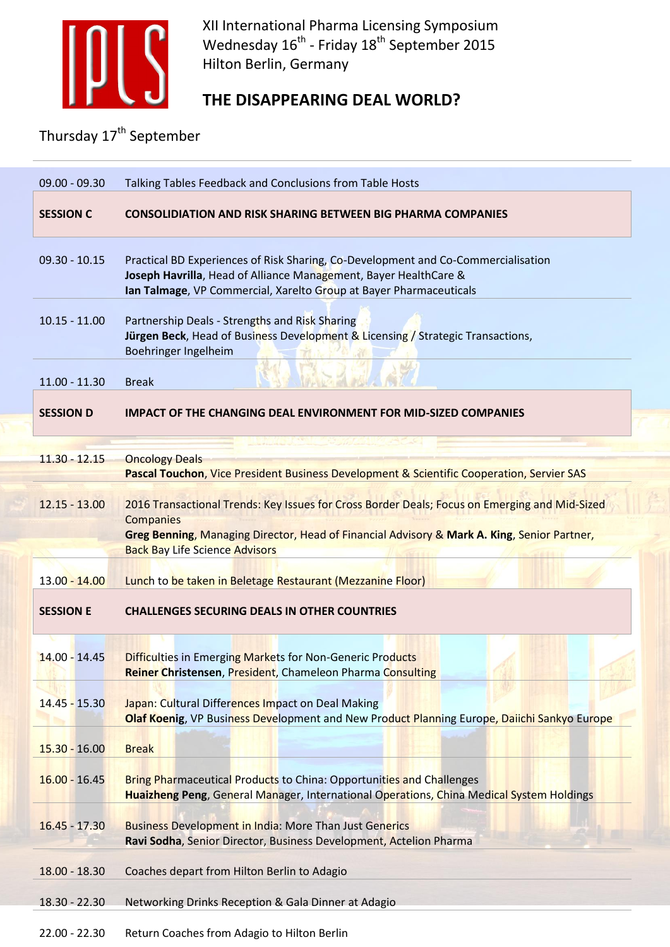

XII International Pharma Licensing Symposium Wednesday 16<sup>th</sup> - Friday 18<sup>th</sup> September 2015 Hilton Berlin, Germany

## **THE DISAPPEARING DEAL WORLD?**

Thursday 17<sup>th</sup> September

| $09.00 - 09.30$  | Talking Tables Feedback and Conclusions from Table Hosts                                                                                                                                                                                           |  |
|------------------|----------------------------------------------------------------------------------------------------------------------------------------------------------------------------------------------------------------------------------------------------|--|
| <b>SESSION C</b> | <b>CONSOLIDIATION AND RISK SHARING BETWEEN BIG PHARMA COMPANIES</b>                                                                                                                                                                                |  |
| $09.30 - 10.15$  | Practical BD Experiences of Risk Sharing, Co-Development and Co-Commercialisation<br>Joseph Havrilla, Head of Alliance Management, Bayer HealthCare &<br>Ian Talmage, VP Commercial, Xarelto Group at Bayer Pharmaceuticals                        |  |
| $10.15 - 11.00$  | Partnership Deals - Strengths and Risk Sharing<br>Jürgen Beck, Head of Business Development & Licensing / Strategic Transactions,<br>Boehringer Ingelheim                                                                                          |  |
| $11.00 - 11.30$  | <b>Break</b>                                                                                                                                                                                                                                       |  |
| <b>SESSION D</b> | <b>IMPACT OF THE CHANGING DEAL ENVIRONMENT FOR MID-SIZED COMPANIES</b>                                                                                                                                                                             |  |
|                  |                                                                                                                                                                                                                                                    |  |
| $11.30 - 12.15$  | <b>Oncology Deals</b>                                                                                                                                                                                                                              |  |
|                  | Pascal Touchon, Vice President Business Development & Scientific Cooperation, Servier SAS                                                                                                                                                          |  |
| $12.15 - 13.00$  | 2016 Transactional Trends: Key Issues for Cross Border Deals; Focus on Emerging and Mid-Sized<br>Companies<br>Greg Benning, Managing Director, Head of Financial Advisory & Mark A. King, Senior Partner,<br><b>Back Bay Life Science Advisors</b> |  |
| 13.00 - 14.00    | Lunch to be taken in Beletage Restaurant (Mezzanine Floor)                                                                                                                                                                                         |  |
| <b>SESSION E</b> | <b>CHALLENGES SECURING DEALS IN OTHER COUNTRIES</b>                                                                                                                                                                                                |  |
| $14.00 - 14.45$  | <b>Difficulties in Emerging Markets for Non-Generic Products</b><br>Reiner Christensen, President, Chameleon Pharma Consulting                                                                                                                     |  |
|                  |                                                                                                                                                                                                                                                    |  |
| $14.45 - 15.30$  | Japan: Cultural Differences Impact on Deal Making                                                                                                                                                                                                  |  |
|                  | Olaf Koenig, VP Business Development and New Product Planning Europe, Daiichi Sankyo Europe                                                                                                                                                        |  |
| $15.30 - 16.00$  | <b>Break</b>                                                                                                                                                                                                                                       |  |
|                  |                                                                                                                                                                                                                                                    |  |
| $16.00 - 16.45$  | <b>Bring Pharmaceutical Products to China: Opportunities and Challenges</b><br>Huaizheng Peng, General Manager, International Operations, China Medical System Holdings                                                                            |  |
| $16.45 - 17.30$  | <b>Business Development in India: More Than Just Generics</b><br>Ravi Sodha, Senior Director, Business Development, Actelion Pharma                                                                                                                |  |
| $18.00 - 18.30$  | Coaches depart from Hilton Berlin to Adagio                                                                                                                                                                                                        |  |
| 18.30 - 22.30    | Networking Drinks Reception & Gala Dinner at Adagio                                                                                                                                                                                                |  |
| $22.00 - 22.30$  | Return Coaches from Adagio to Hilton Berlin                                                                                                                                                                                                        |  |